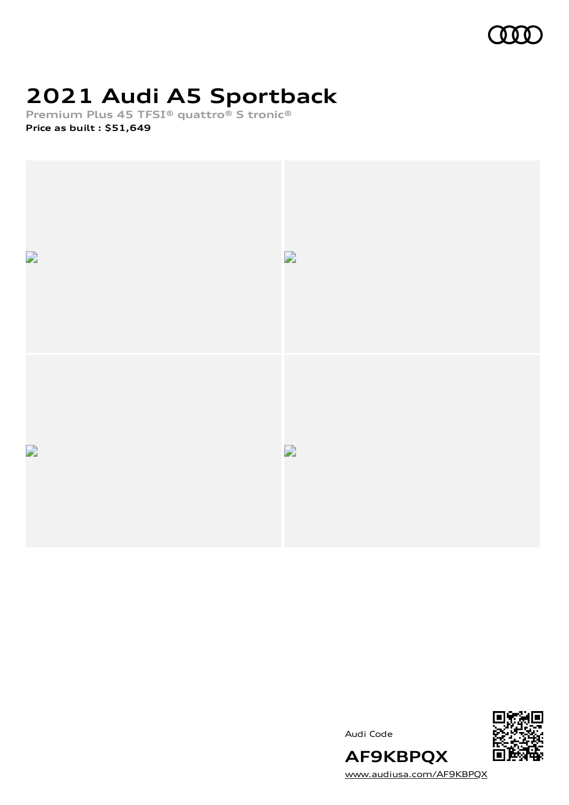

# **2021 Audi A5 Sportback**

**Premium Plus 45 TFSI® quattro® S tronic®**

**Price as built [:](#page-8-0) \$51,649**



Audi Code



[www.audiusa.com/AF9KBPQX](https://www.audiusa.com/AF9KBPQX)

**AF9KBPQX**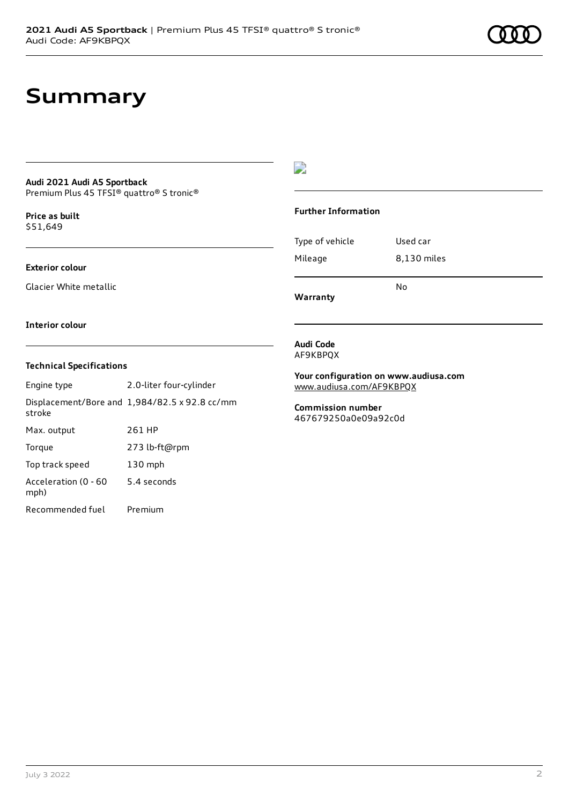## **Summary**

#### **Audi 2021 Audi A5 Sportback** Premium Plus 45 TFSI® quattro® S tronic®

**Price as buil[t](#page-8-0)** \$51,649

#### **Exterior colour**

Glacier White metallic

### $\overline{\phantom{a}}$

### **Further Information**

Type of vehicle Used car Mileage 8,130 miles No

**Warranty**

#### **Interior colour**

### **Technical Specifications**

| Engine type                  | 2.0-liter four-cylinder                       |
|------------------------------|-----------------------------------------------|
| stroke                       | Displacement/Bore and 1,984/82.5 x 92.8 cc/mm |
| Max. output                  | 261 HP                                        |
| Torque                       | 273 lb-ft@rpm                                 |
| Top track speed              | 130 mph                                       |
| Acceleration (0 - 60<br>mph) | 5.4 seconds                                   |
| Recommended fuel             | Premium                                       |

#### **Audi Code** AF9KBPQX

**Your configuration on www.audiusa.com** [www.audiusa.com/AF9KBPQX](https://www.audiusa.com/AF9KBPQX)

**Commission number** 467679250a0e09a92c0d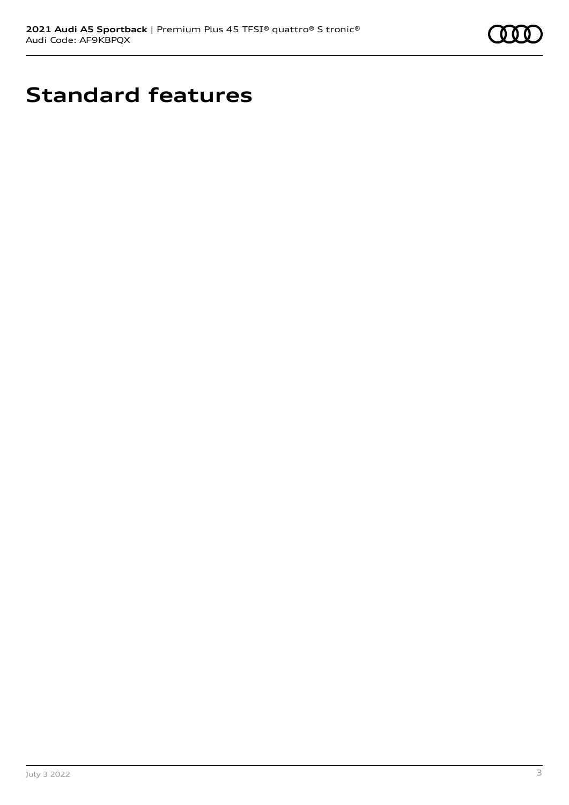

# **Standard features**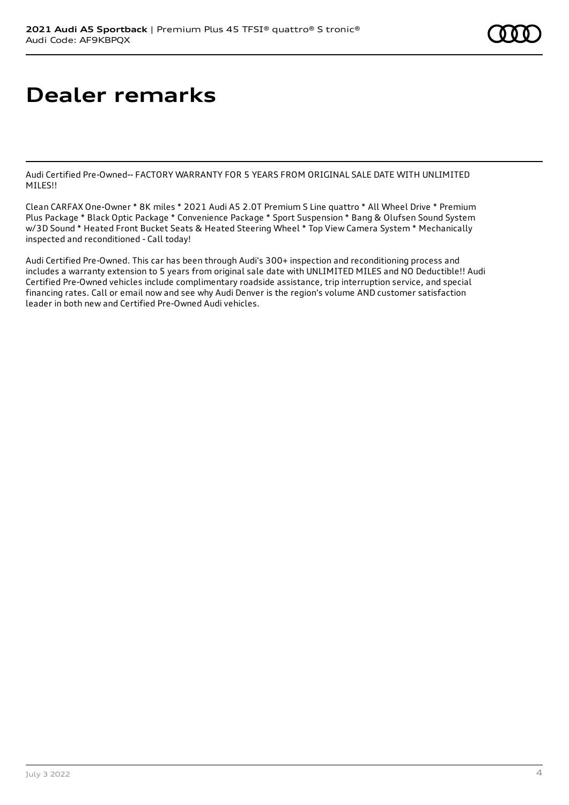# **Dealer remarks**

Audi Certified Pre-Owned-- FACTORY WARRANTY FOR 5 YEARS FROM ORIGINAL SALE DATE WITH UNLIMITED MILES!!

Clean CARFAX One-Owner \* 8K miles \* 2021 Audi A5 2.0T Premium S Line quattro \* All Wheel Drive \* Premium Plus Package \* Black Optic Package \* Convenience Package \* Sport Suspension \* Bang & Olufsen Sound System w/3D Sound \* Heated Front Bucket Seats & Heated Steering Wheel \* Top View Camera System \* Mechanically inspected and reconditioned - Call today!

Audi Certified Pre-Owned. This car has been through Audi's 300+ inspection and reconditioning process and includes a warranty extension to 5 years from original sale date with UNLIMITED MILES and NO Deductible!! Audi Certified Pre-Owned vehicles include complimentary roadside assistance, trip interruption service, and special financing rates. Call or email now and see why Audi Denver is the region's volume AND customer satisfaction leader in both new and Certified Pre-Owned Audi vehicles.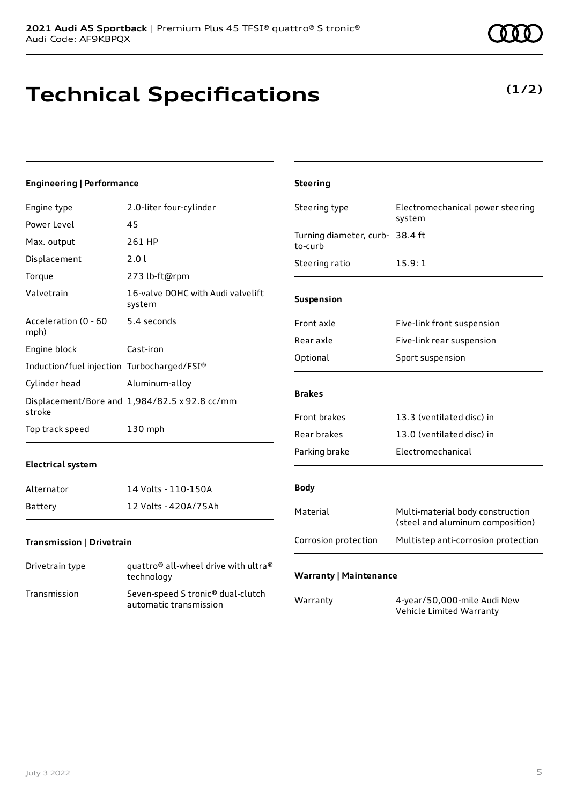## **Technical Specifications**

### **Engineering | Performance**

| Engine type                                | 2.0-liter four-cylinder                                                    | Steering type                              | Electromechanical power steering                                     |
|--------------------------------------------|----------------------------------------------------------------------------|--------------------------------------------|----------------------------------------------------------------------|
| Power Level                                | 45                                                                         |                                            | system                                                               |
| Max. output                                | 261 HP                                                                     | Turning diameter, curb- 38.4 ft<br>to-curb |                                                                      |
| Displacement                               | 2.0 l                                                                      | Steering ratio                             | 15.9:1                                                               |
| Torque                                     | 273 lb-ft@rpm                                                              |                                            |                                                                      |
| Valvetrain                                 | 16-valve DOHC with Audi valvelift<br>system                                | Suspension                                 |                                                                      |
| Acceleration (0 - 60<br>mph)               | 5.4 seconds                                                                | Front axle                                 | Five-link front suspension                                           |
| Engine block                               |                                                                            | Rear axle                                  | Five-link rear suspension                                            |
|                                            | Cast-iron                                                                  | Optional                                   | Sport suspension                                                     |
| Induction/fuel injection Turbocharged/FSI® |                                                                            |                                            |                                                                      |
| Cylinder head                              | Aluminum-alloy                                                             |                                            |                                                                      |
| stroke                                     | Displacement/Bore and 1,984/82.5 x 92.8 cc/mm                              | <b>Brakes</b>                              |                                                                      |
|                                            |                                                                            | Front brakes                               | 13.3 (ventilated disc) in                                            |
| Top track speed                            | 130 mph                                                                    | Rear brakes                                | 13.0 (ventilated disc) in                                            |
|                                            |                                                                            | Parking brake                              | Electromechanical                                                    |
| <b>Electrical system</b>                   |                                                                            |                                            |                                                                      |
| Alternator                                 | 14 Volts - 110-150A                                                        | <b>Body</b>                                |                                                                      |
| Battery                                    | 12 Volts - 420A/75Ah                                                       | Material                                   | Multi-material body construction<br>(steel and aluminum composition) |
| Transmission   Drivetrain                  |                                                                            | Corrosion protection                       | Multistep anti-corrosion protection                                  |
| Drivetrain type                            | quattro <sup>®</sup> all-wheel drive with ultra <sup>®</sup><br>technology | <b>Warranty   Maintenance</b>              |                                                                      |
| Transmission                               | Seven-speed S tronic® dual-clutch<br>automatic transmission                | Warranty                                   | 4-year/50,000-mile Audi New<br>Vehicle Limited Warranty              |

**Steering**

### **(1/2)**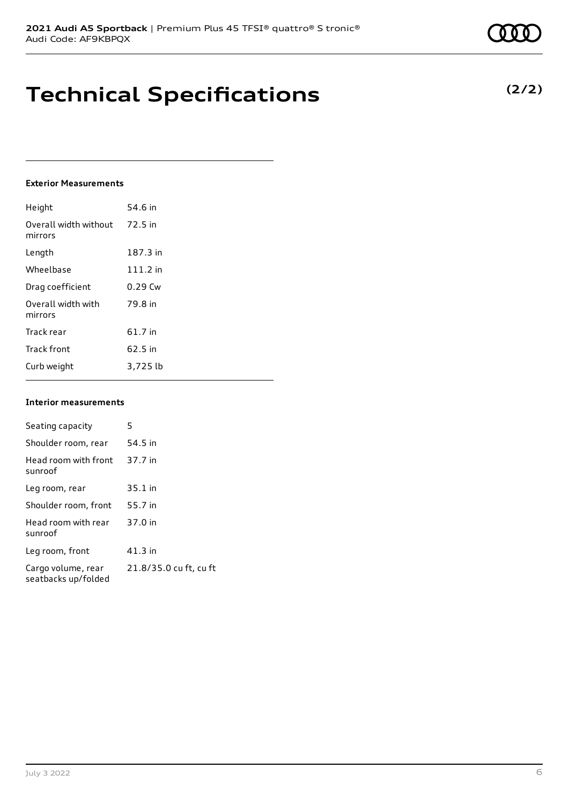## **Technical Specifications**

### **Exterior Measurements**

| Height                           | 54.6 in    |
|----------------------------------|------------|
| Overall width without<br>mirrors | 72.5 in    |
| Length                           | 187.3 in   |
| Wheelbase                        | $111.2$ in |
| Drag coefficient                 | $0.29$ Cw  |
| Overall width with<br>mirrors    | 79.8 in    |
| Track rear                       | 61.7 in    |
| <b>Track front</b>               | 62.5 in    |
| Curb weight                      | 3,725 lb   |

#### **Interior measurements**

| Seating capacity                          | 5                      |
|-------------------------------------------|------------------------|
| Shoulder room, rear                       | 54.5 in                |
| Head room with front<br>sunroof           | 37.7 in                |
| Leg room, rear                            | $35.1$ in              |
| Shoulder room, front                      | 55.7 in                |
| Head room with rear<br>sunroof            | 37.0 in                |
| Leg room, front                           | 41.3 in                |
| Cargo volume, rear<br>seatbacks up/folded | 21.8/35.0 cu ft, cu ft |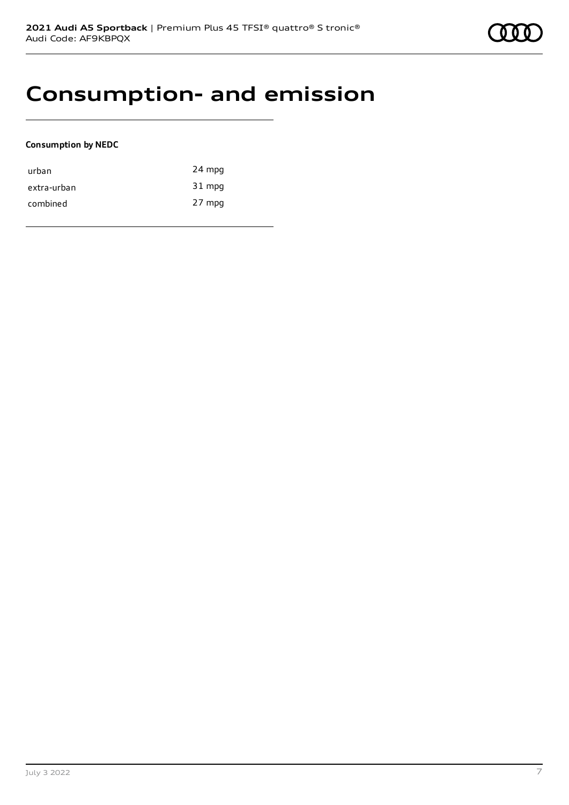### **Consumption- and emission**

### **Consumption by NEDC**

| urban       | 24 mpg |
|-------------|--------|
| extra-urban | 31 mpg |
| combined    | 27 mpg |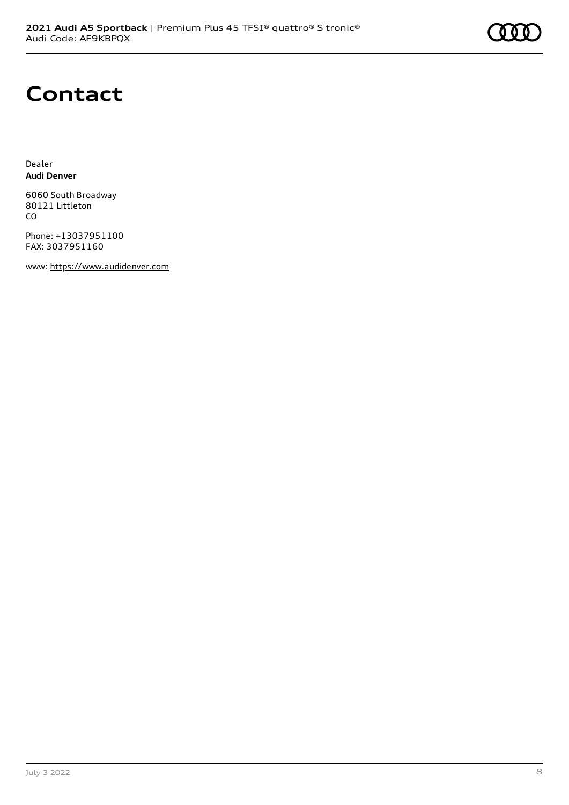## **Contact**

Dealer **Audi Denver**

6060 South Broadway 80121 Littleton CO

Phone: +13037951100 FAX: 3037951160

www: [https://www.audidenver.com](https://www.audidenver.com/)